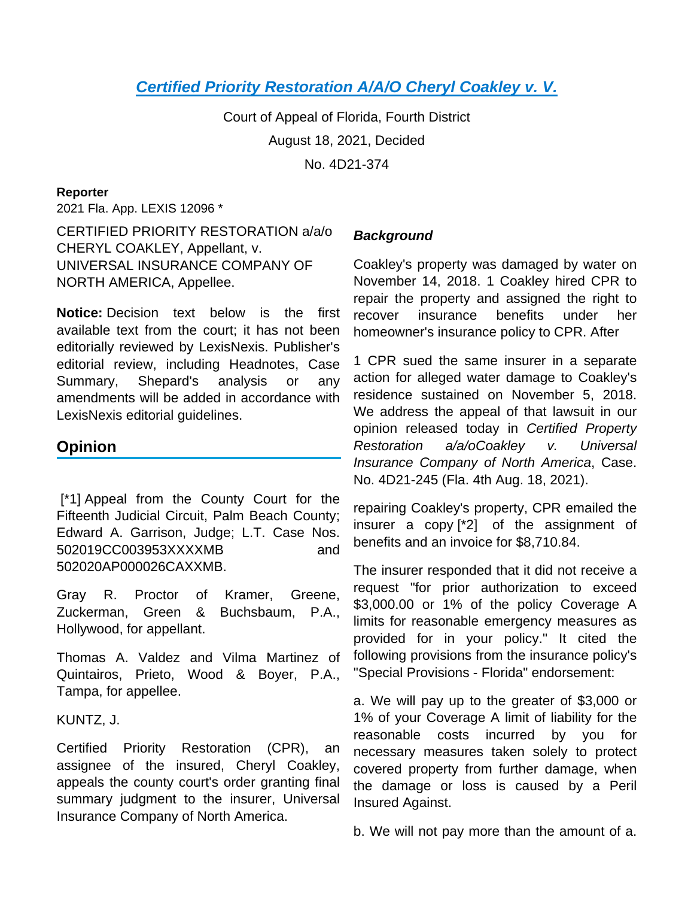# **[Certified Priority Restoration A/A/O Cheryl Coakley v. V.](https://advance.lexis.com/api/document?collection=cases&id=urn:contentItem:63D6-8GK1-JK4W-M3RC-00000-00&context=1000516)**

Court of Appeal of Florida, Fourth District August 18, 2021, Decided No. 4D21-374

#### **Reporter**

2021 Fla. App. LEXIS 12096 \*

CERTIFIED PRIORITY RESTORATION a/a/o CHERYL COAKLEY, Appellant, v. UNIVERSAL INSURANCE COMPANY OF NORTH AMERICA, Appellee.

**Notice:** Decision text below is the first available text from the court; it has not been editorially reviewed by LexisNexis. Publisher's editorial review, including Headnotes, Case Summary, Shepard's analysis or any amendments will be added in accordance with LexisNexis editorial guidelines.

## **Opinion**

 [\*1] Appeal from the County Court for the Fifteenth Judicial Circuit, Palm Beach County; Edward A. Garrison, Judge; L.T. Case Nos. 502019CC003953XXXXMB and 502020AP000026CAXXMB.

Gray R. Proctor of Kramer, Greene, Zuckerman, Green & Buchsbaum, P.A., Hollywood, for appellant.

Thomas A. Valdez and Vilma Martinez of Quintairos, Prieto, Wood & Boyer, P.A., Tampa, for appellee.

KUNTZ, J.

Certified Priority Restoration (CPR), an assignee of the insured, Cheryl Coakley, appeals the county court's order granting final summary judgment to the insurer, Universal Insurance Company of North America.

## **Background**

Coakley's property was damaged by water on November 14, 2018. 1 Coakley hired CPR to repair the property and assigned the right to recover insurance benefits under her homeowner's insurance policy to CPR. After

1 CPR sued the same insurer in a separate action for alleged water damage to Coakley's residence sustained on November 5, 2018. We address the appeal of that lawsuit in our opinion released today in Certified Property Restoration a/a/oCoakley v. Universal Insurance Company of North America, Case. No. 4D21-245 (Fla. 4th Aug. 18, 2021).

repairing Coakley's property, CPR emailed the insurer a copy [\*2] of the assignment of benefits and an invoice for \$8,710.84.

The insurer responded that it did not receive a request "for prior authorization to exceed \$3,000.00 or 1% of the policy Coverage A limits for reasonable emergency measures as provided for in your policy." It cited the following provisions from the insurance policy's "Special Provisions - Florida" endorsement:

a. We will pay up to the greater of \$3,000 or 1% of your Coverage A limit of liability for the reasonable costs incurred by you for necessary measures taken solely to protect covered property from further damage, when the damage or loss is caused by a Peril Insured Against.

b. We will not pay more than the amount of a.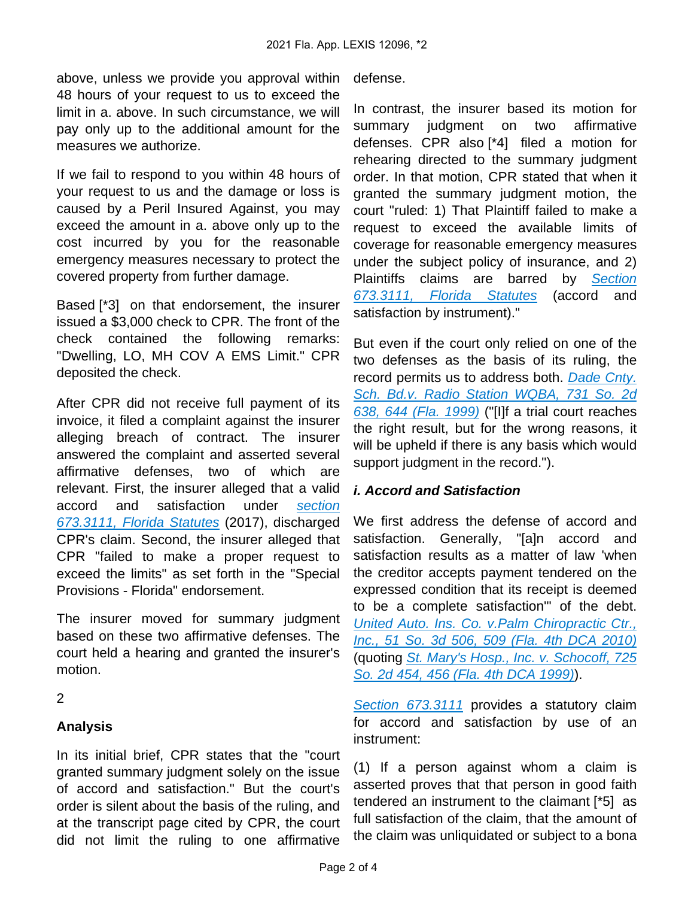above, unless we provide you approval within 48 hours of your request to us to exceed the limit in a. above. In such circumstance, we will pay only up to the additional amount for the measures we authorize.

If we fail to respond to you within 48 hours of your request to us and the damage or loss is caused by a Peril Insured Against, you may exceed the amount in a. above only up to the cost incurred by you for the reasonable emergency measures necessary to protect the covered property from further damage.

Based [\*3] on that endorsement, the insurer issued a \$3,000 check to CPR. The front of the check contained the following remarks: "Dwelling, LO, MH COV A EMS Limit." CPR deposited the check.

After CPR did not receive full payment of its invoice, it filed a complaint against the insurer alleging breach of contract. The insurer answered the complaint and asserted several affirmative defenses, two of which are relevant. First, the insurer alleged that a valid accord and satisfaction under [section](https://advance.lexis.com/api/document?collection=statutes-legislation&id=urn:contentItem:5C24-MNK1-6SKW-D0XM-00000-00&context=1000516)  [673.3111, Florida Statutes](https://advance.lexis.com/api/document?collection=statutes-legislation&id=urn:contentItem:5C24-MNK1-6SKW-D0XM-00000-00&context=1000516) (2017), discharged CPR's claim. Second, the insurer alleged that CPR "failed to make a proper request to exceed the limits" as set forth in the "Special Provisions - Florida" endorsement.

The insurer moved for summary judgment based on these two affirmative defenses. The court held a hearing and granted the insurer's motion.

2

## **Analysis**

In its initial brief, CPR states that the "court granted summary judgment solely on the issue of accord and satisfaction." But the court's order is silent about the basis of the ruling, and at the transcript page cited by CPR, the court did not limit the ruling to one affirmative

defense.

In contrast, the insurer based its motion for summary judgment on two affirmative defenses. CPR also [\*4] filed a motion for rehearing directed to the summary judgment order. In that motion, CPR stated that when it granted the summary judgment motion, the court "ruled: 1) That Plaintiff failed to make a request to exceed the available limits of coverage for reasonable emergency measures under the subject policy of insurance, and 2) Plaintiffs claims are barred by Section [673.3111, Florida Statutes](https://advance.lexis.com/api/document?collection=statutes-legislation&id=urn:contentItem:5C24-MNK1-6SKW-D0XM-00000-00&context=1000516) (accord and satisfaction by instrument)."

But even if the court only relied on one of the two defenses as the basis of its ruling, the record permits us to address both. Dade Cnty. [Sch. Bd.v. Radio Station WQBA, 731 So. 2d](https://advance.lexis.com/api/document?collection=cases&id=urn:contentItem:3WG3-M610-0039-44BF-00000-00&context=1000516)  [638, 644 \(Fla. 1999\)](https://advance.lexis.com/api/document?collection=cases&id=urn:contentItem:3WG3-M610-0039-44BF-00000-00&context=1000516) ("[I]f a trial court reaches the right result, but for the wrong reasons, it will be upheld if there is any basis which would support judgment in the record.").

## **i. Accord and Satisfaction**

We first address the defense of accord and satisfaction. Generally, "[a]n accord and satisfaction results as a matter of law 'when the creditor accepts payment tendered on the expressed condition that its receipt is deemed to be a complete satisfaction'" of the debt. [United Auto. Ins. Co. v.Palm Chiropractic Ctr.,](https://advance.lexis.com/api/document?collection=cases&id=urn:contentItem:51N8-5061-6562-D00P-00000-00&context=1000516)  [Inc., 51 So. 3d 506, 509 \(Fla. 4th DCA 2010\)](https://advance.lexis.com/api/document?collection=cases&id=urn:contentItem:51N8-5061-6562-D00P-00000-00&context=1000516) (quoting [St. Mary's Hosp., Inc. v. Schocoff, 725](https://advance.lexis.com/api/document?collection=cases&id=urn:contentItem:3VSF-GCG0-0039-4071-00000-00&context=1000516)  [So. 2d 454, 456 \(Fla. 4th DCA 1999\)](https://advance.lexis.com/api/document?collection=cases&id=urn:contentItem:3VSF-GCG0-0039-4071-00000-00&context=1000516)).

[Section 673.3111](https://advance.lexis.com/api/document?collection=statutes-legislation&id=urn:contentItem:5C24-MNK1-6SKW-D0XM-00000-00&context=1000516) provides a statutory claim for accord and satisfaction by use of an instrument:

(1) If a person against whom a claim is asserted proves that that person in good faith tendered an instrument to the claimant [\*5] as full satisfaction of the claim, that the amount of the claim was unliquidated or subject to a bona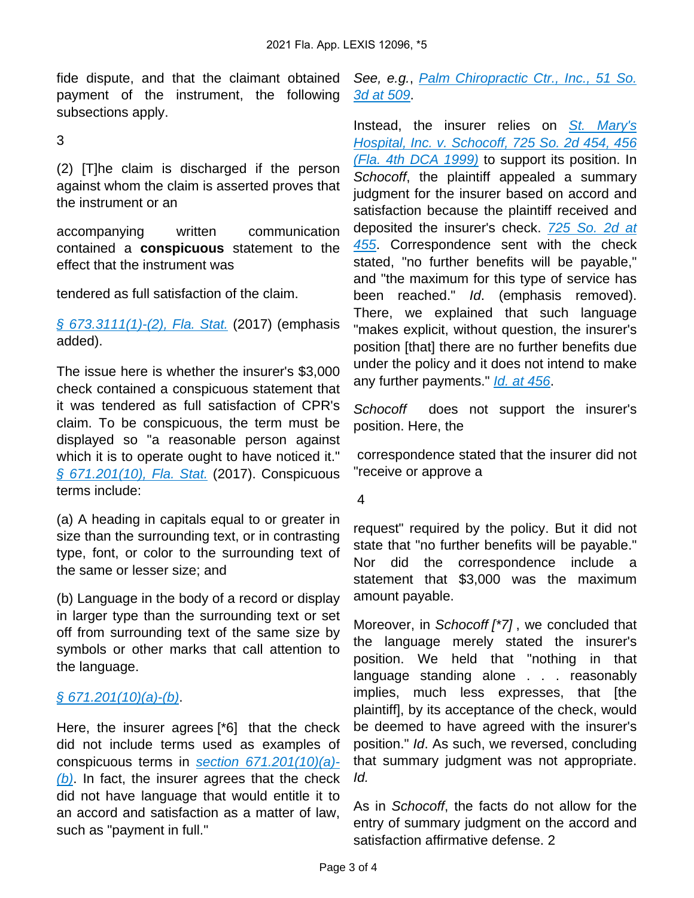fide dispute, and that the claimant obtained payment of the instrument, the following subsections apply.

3

(2) [T]he claim is discharged if the person against whom the claim is asserted proves that the instrument or an

accompanying written communication contained a **conspicuous** statement to the effect that the instrument was

tendered as full satisfaction of the claim.

[§ 673.3111\(1\)-\(2\), Fla. Stat.](https://advance.lexis.com/api/document?collection=statutes-legislation&id=urn:contentItem:5C24-MNK1-6SKW-D0XM-00000-00&context=1000516) (2017) (emphasis added).

The issue here is whether the insurer's \$3,000 check contained a conspicuous statement that it was tendered as full satisfaction of CPR's claim. To be conspicuous, the term must be displayed so "a reasonable person against which it is to operate ought to have noticed it." [§ 671.201\(10\), Fla. Stat.](https://advance.lexis.com/api/document?collection=statutes-legislation&id=urn:contentItem:5C24-MNK1-6SKW-D0PF-00000-00&context=1000516) (2017). Conspicuous terms include:

(a) A heading in capitals equal to or greater in size than the surrounding text, or in contrasting type, font, or color to the surrounding text of the same or lesser size; and

(b) Language in the body of a record or display in larger type than the surrounding text or set off from surrounding text of the same size by symbols or other marks that call attention to the language.

# $§ 671.201(10)(a)-(b).$  $§ 671.201(10)(a)-(b).$

Here, the insurer agrees [\*6] that the check did not include terms used as examples of conspicuous terms in [section 671.201\(10\)\(a\)-](https://advance.lexis.com/api/document?collection=statutes-legislation&id=urn:contentItem:5C24-MNK1-6SKW-D0PF-00000-00&context=1000516)  $(b)$ . In fact, the insurer agrees that the check did not have language that would entitle it to an accord and satisfaction as a matter of law, such as "payment in full."

See, e.g., Palm Chiropractic Ctr., Inc., 51 So. [3d at 509](https://advance.lexis.com/api/document?collection=cases&id=urn:contentItem:51N8-5061-6562-D00P-00000-00&context=1000516).

Instead, the insurer relies on St. Mary's [Hospital, Inc. v. Schocoff, 725 So. 2d 454, 456](https://advance.lexis.com/api/document?collection=cases&id=urn:contentItem:3VSF-GCG0-0039-4071-00000-00&context=1000516)  [\(Fla. 4th DCA 1999\)](https://advance.lexis.com/api/document?collection=cases&id=urn:contentItem:3VSF-GCG0-0039-4071-00000-00&context=1000516) to support its position. In Schocoff, the plaintiff appealed a summary judgment for the insurer based on accord and satisfaction because the plaintiff received and deposited the insurer's check. 725 So. 2d at [455](https://advance.lexis.com/api/document?collection=cases&id=urn:contentItem:3VSF-GCG0-0039-4071-00000-00&context=1000516). Correspondence sent with the check stated, "no further benefits will be payable," and "the maximum for this type of service has been reached." Id. (emphasis removed). There, we explained that such language "makes explicit, without question, the insurer's position [that] there are no further benefits due under the policy and it does not intend to make any further payments." [Id. at 456](https://advance.lexis.com/api/document?collection=cases&id=urn:contentItem:3VSF-GCG0-0039-4071-00000-00&context=1000516).

Schocoff does not support the insurer's position. Here, the

 correspondence stated that the insurer did not "receive or approve a

#### 4

request" required by the policy. But it did not state that "no further benefits will be payable." Nor did the correspondence include a statement that \$3,000 was the maximum amount payable.

Moreover, in Schocoff [\*7], we concluded that the language merely stated the insurer's position. We held that "nothing in that language standing alone . . . reasonably implies, much less expresses, that [the plaintiff], by its acceptance of the check, would be deemed to have agreed with the insurer's position." Id. As such, we reversed, concluding that summary judgment was not appropriate. Id.

As in Schocoff, the facts do not allow for the entry of summary judgment on the accord and satisfaction affirmative defense. 2